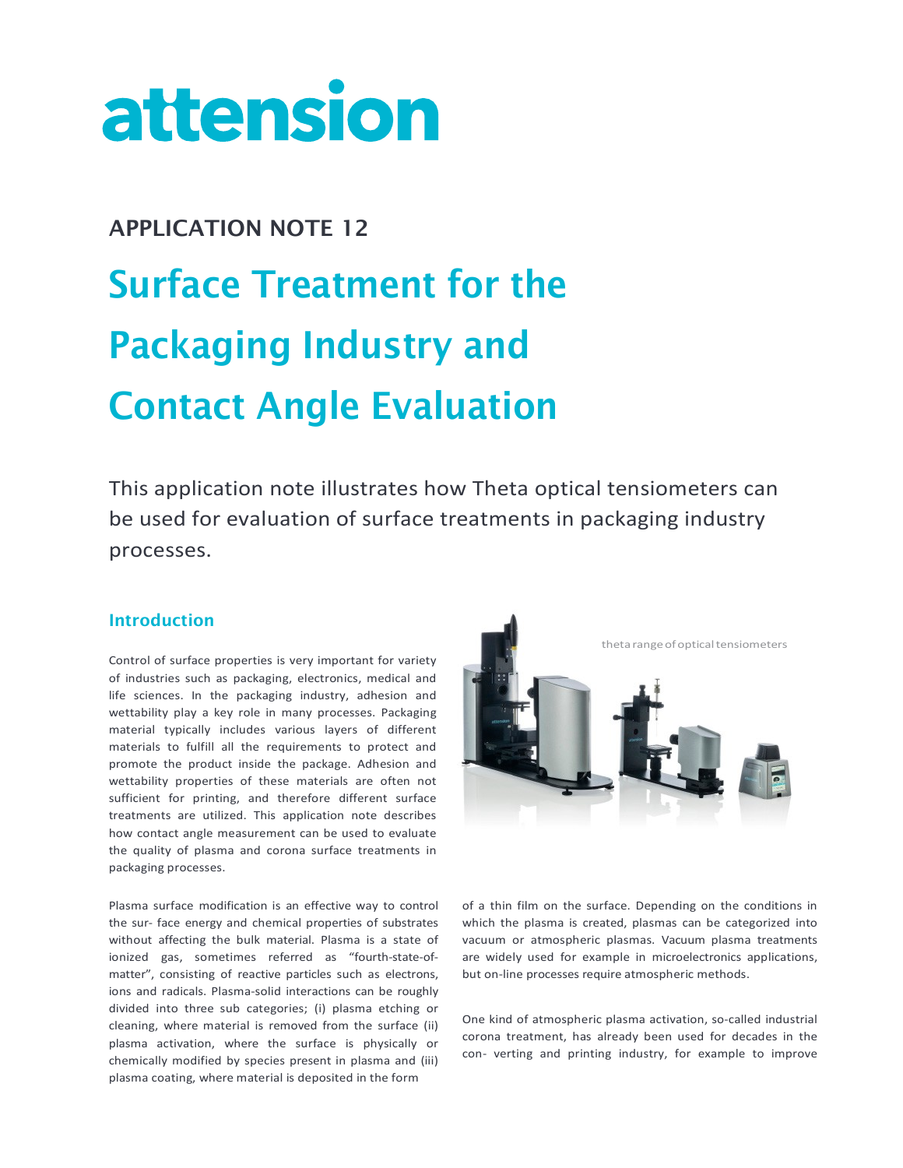# attension

## APPLICATION NOTE 12 Surface Treatment for the Packaging Industry and Contact Angle Evaluation

This application note illustrates how Theta optical tensiometers can be used for evaluation of surface treatments in packaging industry processes.

### Introduction

Control of surface properties is very important for variety of industries such as packaging, electronics, medical and life sciences. In the packaging industry, adhesion and wettability play a key role in many processes. Packaging material typically includes various layers of different materials to fulfill all the requirements to protect and promote the product inside the package. Adhesion and wettability properties of these materials are often not sufficient for printing, and therefore different surface treatments are utilized. This application note describes how contact angle measurement can be used to evaluate the quality of plasma and corona surface treatments in packaging processes.

Plasma surface modification is an effective way to control the sur- face energy and chemical properties of substrates without affecting the bulk material. Plasma is a state of ionized gas, sometimes referred as "fourth-state-ofmatter", consisting of reactive particles such as electrons, ions and radicals. Plasma-solid interactions can be roughly divided into three sub categories; (i) plasma etching or cleaning, where material is removed from the surface (ii) plasma activation, where the surface is physically or chemically modified by species present in plasma and (iii) plasma coating, where material is deposited in the form



of a thin film on the surface. Depending on the conditions in which the plasma is created, plasmas can be categorized into vacuum or atmospheric plasmas. Vacuum plasma treatments are widely used for example in microelectronics applications, but on-line processes require atmospheric methods.

One kind of atmospheric plasma activation, so-called industrial corona treatment, has already been used for decades in the con- verting and printing industry, for example to improve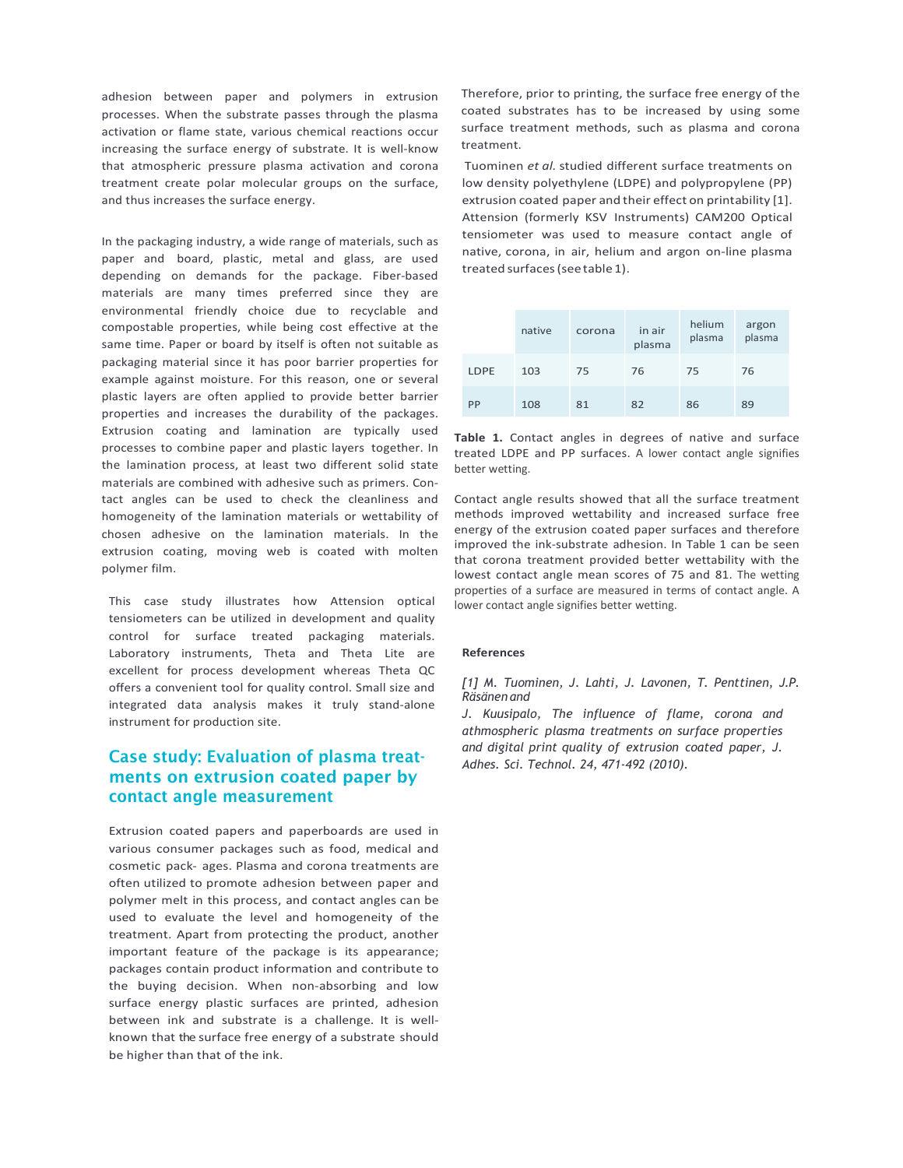adhesion between paper and polymers in extrusion processes. When the substrate passes through the plasma activation or flame state, various chemical reactions occur increasing the surface energy of substrate. It is well-know that atmospheric pressure plasma activation and corona treatment create polar molecular groups on the surface, and thus increases the surface energy.

In the packaging industry, a wide range of materials, such as paper and board, plastic, metal and glass, are used depending on demands for the package. Fiber-based materials are many times preferred since they are environmental friendly choice due to recyclable and compostable properties, while being cost effective at the same time. Paper or board by itself is often not suitable as packaging material since it has poor barrier properties for example against moisture. For this reason, one or several plastic layers are often applied to provide better barrier properties and increases the durability of the packages. Extrusion coating and lamination are typically used processes to combine paper and plastic layers together. In the lamination process, at least two different solid state materials are combined with adhesive such as primers. Contact angles can be used to check the cleanliness and homogeneity of the lamination materials or wettability of chosen adhesive on the lamination materials. In the extrusion coating, moving web is coated with molten polymer film.

This case study illustrates how Attension optical tensiometers can be utilized in development and quality control for surface treated packaging materials. Laboratory instruments, Theta and Theta Lite are excellent for process development whereas Theta QC offers a convenient tool for quality control. Small size and integrated data analysis makes it truly stand-alone instrument for production site.

#### Case study: Evaluation of plasma treatments on extrusion coated paper by contact angle measurement

Extrusion coated papers and paperboards are used in various consumer packages such as food, medical and cosmetic pack- ages. Plasma and corona treatments are often utilized to promote adhesion between paper and polymer melt in this process, and contact angles can be used to evaluate the level and homogeneity of the treatment. Apart from protecting the product, another important feature of the package is its appearance; packages contain product information and contribute to the buying decision. When non-absorbing and low surface energy plastic surfaces are printed, adhesion between ink and substrate is a challenge. It is wellknown that the surface free energy of a substrate should be higher than that of the ink.

Therefore, prior to printing, the surface free energy of the coated substrates has to be increased by using some surface treatment methods, such as plasma and corona treatment.

Tuominen et al. studied different surface treatments on low density polyethylene (LDPE) and polypropylene (PP) extrusion coated paper and their effect on printability [1]. Attension (formerly KSV Instruments) CAM200 Optical tensiometer was used to measure contact angle of native, corona, in air, helium and argon on-line plasma treated surfaces (see table 1).

|      | native | corona | in air<br>plasma | helium<br>plasma | argon<br>plasma |
|------|--------|--------|------------------|------------------|-----------------|
| LDPE | 103    | 75     | 76               | 75               | 76              |
| PP   | 108    | 81     | 82               | 86               | 89              |

Table 1. Contact angles in degrees of native and surface treated LDPE and PP surfaces. A lower contact angle signifies better wetting.

Contact angle results showed that all the surface treatment methods improved wettability and increased surface free energy of the extrusion coated paper surfaces and therefore improved the ink-substrate adhesion. In Table 1 can be seen that corona treatment provided better wettability with the lowest contact angle mean scores of 75 and 81. The wetting properties of a surface are measured in terms of contact angle. A lower contact angle signifies better wetting.

#### References

[1] M. Tuominen, J. Lahti, J. Lavonen, T. Penttinen, J.P. Räsänen and

J. Kuusipalo, The influence of flame, corona and athmospheric plasma treatments on surface properties and digital print quality of extrusion coated paper, J. Adhes. Sci. Technol. 24, 471-492 (2010).